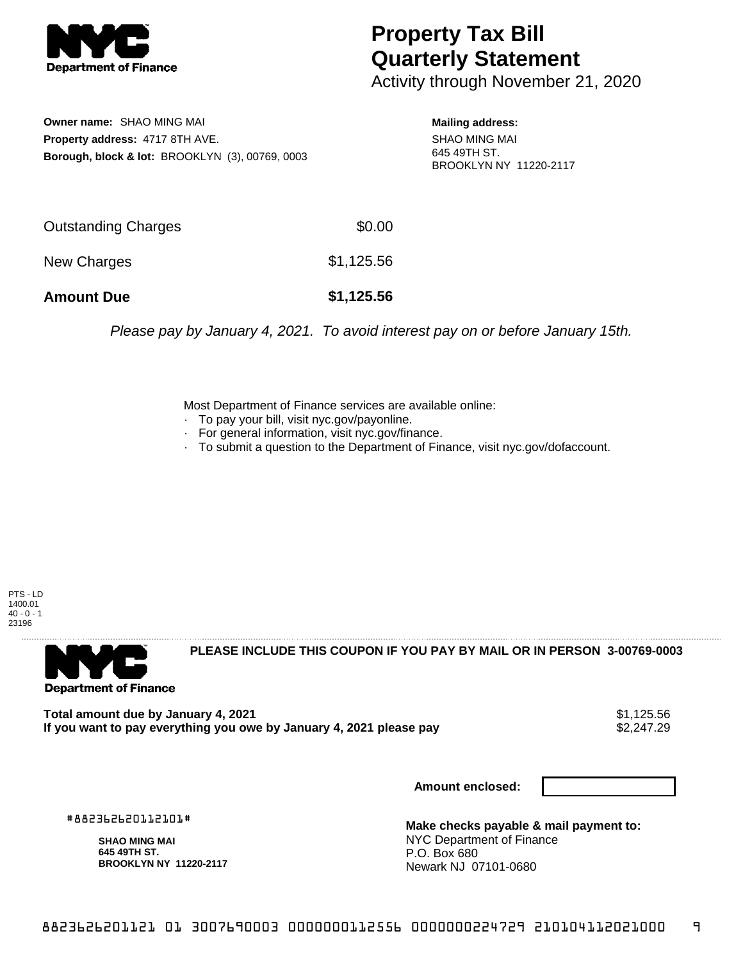

## **Property Tax Bill Quarterly Statement**

Activity through November 21, 2020

**Owner name:** SHAO MING MAI **Property address:** 4717 8TH AVE. **Borough, block & lot:** BROOKLYN (3), 00769, 0003

**Mailing address:** SHAO MING MAI 645 49TH ST. BROOKLYN NY 11220-2117

| <b>Amount Due</b>   | \$1,125.56 |
|---------------------|------------|
| New Charges         | \$1,125.56 |
| Outstanding Charges | \$0.00     |

Please pay by January 4, 2021. To avoid interest pay on or before January 15th.

Most Department of Finance services are available online:

- · To pay your bill, visit nyc.gov/payonline.
- For general information, visit nyc.gov/finance.
- · To submit a question to the Department of Finance, visit nyc.gov/dofaccount.

PTS - LD 1400.01  $40 - 0 - 1$ 23196



**PLEASE INCLUDE THIS COUPON IF YOU PAY BY MAIL OR IN PERSON 3-00769-0003** 

**Total amount due by January 4, 2021**<br>If you want to pay everything you owe by January 4, 2021 please pay **show that the set of the set of the set of** If you want to pay everything you owe by January 4, 2021 please pay

**Amount enclosed:**

#882362620112101#

**SHAO MING MAI 645 49TH ST. BROOKLYN NY 11220-2117**

**Make checks payable & mail payment to:** NYC Department of Finance P.O. Box 680 Newark NJ 07101-0680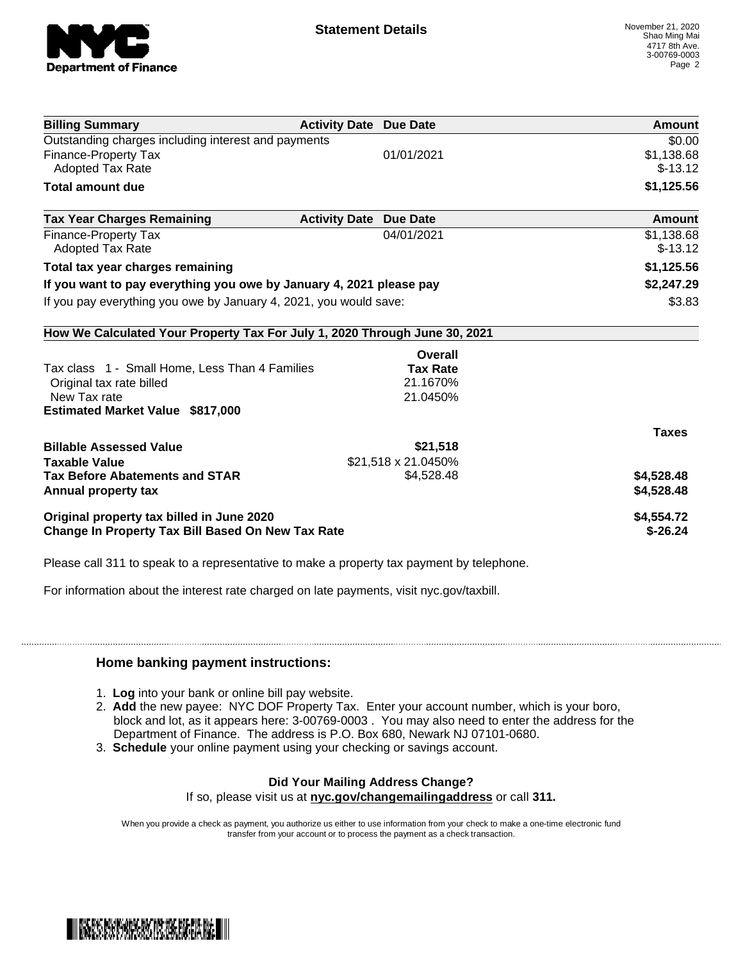

| <b>Billing Summary</b>                                                     | <b>Activity Date Due Date</b>           | Amount       |
|----------------------------------------------------------------------------|-----------------------------------------|--------------|
| Outstanding charges including interest and payments                        |                                         | \$0.00       |
| Finance-Property Tax                                                       | 01/01/2021                              | \$1,138.68   |
| Adopted Tax Rate                                                           |                                         | $$-13.12$    |
| <b>Total amount due</b>                                                    |                                         | \$1,125.56   |
| <b>Tax Year Charges Remaining</b>                                          | <b>Activity Date</b><br><b>Due Date</b> | Amount       |
| <b>Finance-Property Tax</b>                                                | 04/01/2021                              | \$1,138.68   |
| <b>Adopted Tax Rate</b>                                                    |                                         | $$-13.12$    |
| Total tax year charges remaining                                           |                                         | \$1,125.56   |
| If you want to pay everything you owe by January 4, 2021 please pay        |                                         | \$2,247.29   |
| If you pay everything you owe by January 4, 2021, you would save:          |                                         | \$3.83       |
| How We Calculated Your Property Tax For July 1, 2020 Through June 30, 2021 |                                         |              |
|                                                                            | Overall                                 |              |
| Tax class 1 - Small Home, Less Than 4 Families                             | <b>Tax Rate</b>                         |              |
| Original tax rate billed                                                   | 21.1670%                                |              |
| New Tax rate                                                               | 21.0450%                                |              |
| <b>Estimated Market Value \$817,000</b>                                    |                                         |              |
|                                                                            |                                         | <b>Taxes</b> |
| <b>Billable Assessed Value</b>                                             | \$21,518                                |              |
| <b>Taxable Value</b>                                                       | \$21,518 x 21.0450%                     |              |
| <b>Tax Before Abatements and STAR</b>                                      | \$4,528.48                              | \$4,528.48   |
| Annual property tax                                                        |                                         | \$4,528.48   |
| Original property tax billed in June 2020                                  |                                         | \$4,554.72   |
| <b>Change In Property Tax Bill Based On New Tax Rate</b>                   |                                         | $$-26.24$    |

Please call 311 to speak to a representative to make a property tax payment by telephone.

For information about the interest rate charged on late payments, visit nyc.gov/taxbill.

## **Home banking payment instructions:**

- 1. **Log** into your bank or online bill pay website.
- 2. **Add** the new payee: NYC DOF Property Tax. Enter your account number, which is your boro, block and lot, as it appears here: 3-00769-0003 . You may also need to enter the address for the Department of Finance. The address is P.O. Box 680, Newark NJ 07101-0680.
- 3. **Schedule** your online payment using your checking or savings account.

## **Did Your Mailing Address Change?**

If so, please visit us at **nyc.gov/changemailingaddress** or call **311.**

When you provide a check as payment, you authorize us either to use information from your check to make a one-time electronic fund transfer from your account or to process the payment as a check transaction.